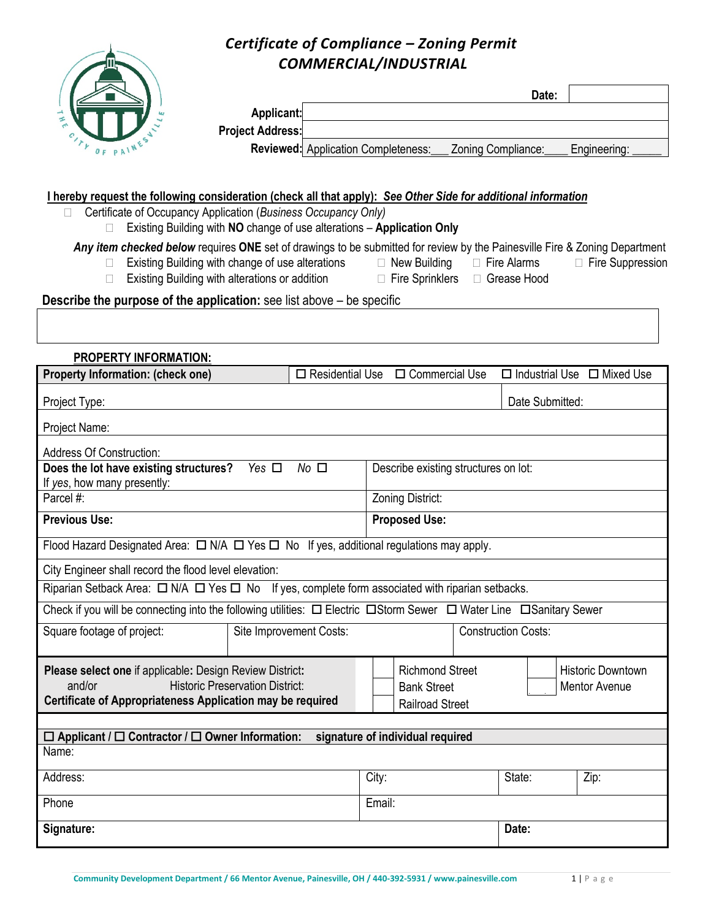## $O_F$   $P A$ <sup>1</sub>W</sup>

## *Certificate of Compliance – Zoning Permit COMMERCIAL/INDUSTRIAL*

|                         |                                     | Date:              |              |
|-------------------------|-------------------------------------|--------------------|--------------|
| Applicant:              |                                     |                    |              |
| <b>Project Address:</b> |                                     |                    |              |
|                         | Reviewed: Application Completeness: | Zoning Compliance: | Engineering: |

## **I hereby request the following consideration (check all that apply):** *See Other Side for additional information*

|  | Certificate of Occupancy Application (Business Occupancy Only) |  |  |  |  |  |
|--|----------------------------------------------------------------|--|--|--|--|--|
|--|----------------------------------------------------------------|--|--|--|--|--|

Existing Building with **NO** change of use alterations – **Application Only**

| Any item checked below requires ONE set of drawings to be submitted for review by the Painesville Fire & Zoning Department |  |  |  |  |  |  |
|----------------------------------------------------------------------------------------------------------------------------|--|--|--|--|--|--|
|                                                                                                                            |  |  |  |  |  |  |

- □ Existing Building with change of use alterations □ New Building □ Fire Alarms □ Fire Suppression
	-
- □ Existing Building with alterations or addition □ Fire Sprinklers □ Grease Hood
- 
- **Describe the purpose of the application:** see list above be specific

| <b>PROPERTY INFORMATION:</b>                                                                                                                                                      |            |                                                       |                                                                                                                            |                                      |  |                 |                                        |
|-----------------------------------------------------------------------------------------------------------------------------------------------------------------------------------|------------|-------------------------------------------------------|----------------------------------------------------------------------------------------------------------------------------|--------------------------------------|--|-----------------|----------------------------------------|
| <b>Property Information: (check one)</b>                                                                                                                                          |            | $\Box$ Residential Use                                |                                                                                                                            | $\Box$ Commercial Use                |  |                 | $\Box$ Industrial Use $\Box$ Mixed Use |
| Project Type:                                                                                                                                                                     |            |                                                       |                                                                                                                            |                                      |  | Date Submitted: |                                        |
| Project Name:                                                                                                                                                                     |            |                                                       |                                                                                                                            |                                      |  |                 |                                        |
| <b>Address Of Construction:</b>                                                                                                                                                   |            |                                                       |                                                                                                                            |                                      |  |                 |                                        |
| Does the lot have existing structures?<br>If yes, how many presently:                                                                                                             | Yes $\Box$ | $No$ $\square$                                        |                                                                                                                            | Describe existing structures on lot: |  |                 |                                        |
| Parcel #:                                                                                                                                                                         |            |                                                       |                                                                                                                            | Zoning District:                     |  |                 |                                        |
| <b>Previous Use:</b>                                                                                                                                                              |            |                                                       |                                                                                                                            | <b>Proposed Use:</b>                 |  |                 |                                        |
| Flood Hazard Designated Area: $\Box$ N/A $\Box$ Yes $\Box$ No If yes, additional regulations may apply.                                                                           |            |                                                       |                                                                                                                            |                                      |  |                 |                                        |
| City Engineer shall record the flood level elevation:                                                                                                                             |            |                                                       |                                                                                                                            |                                      |  |                 |                                        |
| Riparian Setback Area: $\Box$ N/A $\Box$ Yes $\Box$ No If yes, complete form associated with riparian setbacks.                                                                   |            |                                                       |                                                                                                                            |                                      |  |                 |                                        |
| Check if you will be connecting into the following utilities: $\Box$ Electric $\Box$ Storm Sewer $\Box$ Water Line $\Box$ Sanitary Sewer                                          |            |                                                       |                                                                                                                            |                                      |  |                 |                                        |
| Square footage of project:                                                                                                                                                        |            | <b>Construction Costs:</b><br>Site Improvement Costs: |                                                                                                                            |                                      |  |                 |                                        |
| Please select one if applicable: Design Review District:<br><b>Historic Preservation District:</b><br>and/or<br><b>Certificate of Appropriateness Application may be required</b> |            |                                                       | <b>Richmond Street</b><br><b>Historic Downtown</b><br><b>Bank Street</b><br><b>Mentor Avenue</b><br><b>Railroad Street</b> |                                      |  |                 |                                        |
|                                                                                                                                                                                   |            |                                                       |                                                                                                                            |                                      |  |                 |                                        |
| $\Box$ Applicant / $\Box$ Contractor / $\Box$ Owner Information:                                                                                                                  |            |                                                       |                                                                                                                            | signature of individual required     |  |                 |                                        |
| Name:                                                                                                                                                                             |            |                                                       |                                                                                                                            |                                      |  |                 |                                        |
| Address:                                                                                                                                                                          |            |                                                       | City:                                                                                                                      |                                      |  | State:          | Zip:                                   |
| Phone                                                                                                                                                                             |            |                                                       | Email:                                                                                                                     |                                      |  |                 |                                        |
| Signature:                                                                                                                                                                        |            |                                                       |                                                                                                                            |                                      |  | Date:           |                                        |